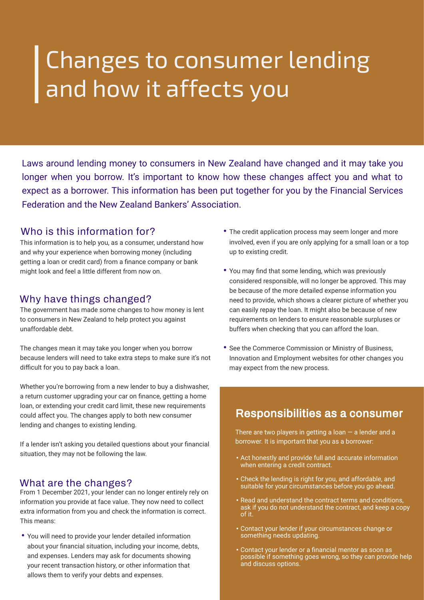# Changes to consumer lending and how it affects you

Laws around lending money to consumers in New Zealand have changed and it may take you longer when you borrow. It's important to know how these changes affect you and what to expect as a borrower. This information has been put together for you by the Financial Services Federation and the New Zealand Bankers' Association.

### **Who is this information for?**

This information is to help you, as a consumer, understand how and why your experience when borrowing money (including getting a loan or credit card) from a finance company or bank might look and feel a little different from now on.

#### **Why have things changed?**

The government has made some changes to how money is lent to consumers in New Zealand to help protect you against unaffordable debt.

The changes mean it may take you longer when you borrow because lenders will need to take extra steps to make sure it's not difficult for you to pay back a loan.

Whether you're borrowing from a new lender to buy a dishwasher, a return customer upgrading your car on finance, getting a home loan, or extending your credit card limit, these new requirements could affect you. The changes apply to both new consumer lending and changes to existing lending.

If a lender isn't asking you detailed questions about your financial situation, they may not be following the law.

#### **What are the changes?**

From 1 December 2021, your lender can no longer entirely rely on information you provide at face value. They now need to collect extra information from you and check the information is correct. This means:

• You will need to provide your lender detailed information about your financial situation, including your income, debts, and expenses. Lenders may ask for documents showing your recent transaction history, or other information that allows them to verify your debts and expenses.

- The credit application process may seem longer and more involved, even if you are only applying for a small loan or a top up to existing credit.
- You may find that some lending, which was previously considered responsible, will no longer be approved. This may be because of the more detailed expense information you need to provide, which shows a clearer picture of whether you can easily repay the loan. It might also be because of new requirements on lenders to ensure reasonable surpluses or buffers when checking that you can afford the loan.
- See the Commerce Commission or Ministry of Business, Innovation and Employment websites for other changes you may expect from the new process.

## **Responsibilities as a consumer**

There are two players in getting a loan  $-$  a lender and a borrower. It is important that you as a borrower:

- Act honestly and provide full and accurate information when entering a credit contract.
- Check the lending is right for you, and affordable, and suitable for your circumstances before you go ahead.
- Read and understand the contract terms and conditions, ask if you do not understand the contract, and keep a copy of it.
- Contact your lender if your circumstances change or something needs updating.
- Contact your lender or a financial mentor as soon as possible if something goes wrong, so they can provide help and discuss options.